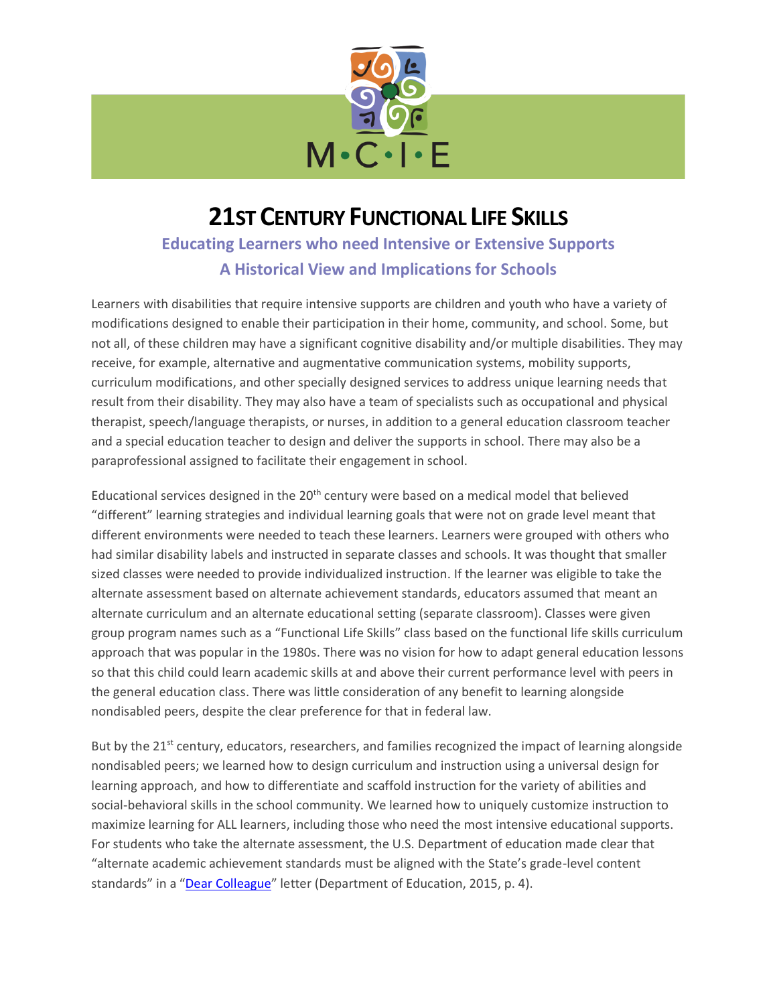

# **21ST CENTURY FUNCTIONAL LIFE SKILLS**

# **Educating Learners who need Intensive or Extensive Supports A Historical View and Implications for Schools**

Learners with disabilities that require intensive supports are children and youth who have a variety of modifications designed to enable their participation in their home, community, and school. Some, but not all, of these children may have a significant cognitive disability and/or multiple disabilities. They may receive, for example, alternative and augmentative communication systems, mobility supports, curriculum modifications, and other specially designed services to address unique learning needs that result from their disability. They may also have a team of specialists such as occupational and physical therapist, speech/language therapists, or nurses, in addition to a general education classroom teacher and a special education teacher to design and deliver the supports in school. There may also be a paraprofessional assigned to facilitate their engagement in school.

Educational services designed in the 20<sup>th</sup> century were based on a medical model that believed "different" learning strategies and individual learning goals that were not on grade level meant that different environments were needed to teach these learners. Learners were grouped with others who had similar disability labels and instructed in separate classes and schools. It was thought that smaller sized classes were needed to provide individualized instruction. If the learner was eligible to take the alternate assessment based on alternate achievement standards, educators assumed that meant an alternate curriculum and an alternate educational setting (separate classroom). Classes were given group program names such as a "Functional Life Skills" class based on the functional life skills curriculum approach that was popular in the 1980s. There was no vision for how to adapt general education lessons so that this child could learn academic skills at and above their current performance level with peers in the general education class. There was little consideration of any benefit to learning alongside nondisabled peers, despite the clear preference for that in federal law.

But by the 21<sup>st</sup> century, educators, researchers, and families recognized the impact of learning alongside nondisabled peers; we learned how to design curriculum and instruction using a universal design for learning approach, and how to differentiate and scaffold instruction for the variety of abilities and social-behavioral skills in the school community. We learned how to uniquely customize instruction to maximize learning for ALL learners, including those who need the most intensive educational supports. For students who take the alternate assessment, the U.S. Department of education made clear that "alternate academic achievement standards must be aligned with the State's grade-level content standards" in a "[Dear Colleague](https://insource.org/files/pages/0086-Dear%20Colleague%20Letter-guidance-on-fape-11-17-2015.pdf)" letter (Department of Education, 2015, p. 4).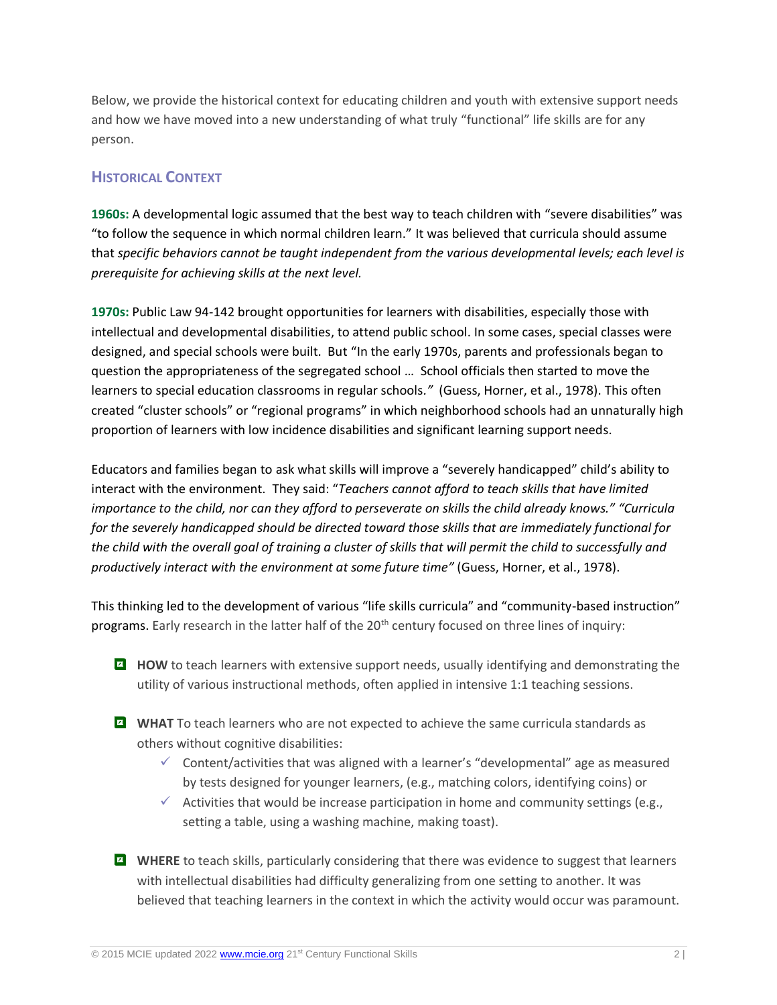Below, we provide the historical context for educating children and youth with extensive support needs and how we have moved into a new understanding of what truly "functional" life skills are for any person.

### **HISTORICAL CONTEXT**

**1960s:** A developmental logic assumed that the best way to teach children with "severe disabilities" was "to follow the sequence in which normal children learn." It was believed that curricula should assume that *specific behaviors cannot be taught independent from the various developmental levels; each level is prerequisite for achieving skills at the next level.*

**1970s:** Public Law 94-142 brought opportunities for learners with disabilities, especially those with intellectual and developmental disabilities, to attend public school. In some cases, special classes were designed, and special schools were built. But "In the early 1970s, parents and professionals began to question the appropriateness of the segregated school … School officials then started to move the learners to special education classrooms in regular schools*."* (Guess, Horner, et al., 1978). This often created "cluster schools" or "regional programs" in which neighborhood schools had an unnaturally high proportion of learners with low incidence disabilities and significant learning support needs.

Educators and families began to ask what skills will improve a "severely handicapped" child's ability to interact with the environment. They said: "*Teachers cannot afford to teach skills that have limited importance to the child, nor can they afford to perseverate on skills the child already knows." "Curricula for the severely handicapped should be directed toward those skills that are immediately functional for the child with the overall goal of training a cluster of skills that will permit the child to successfully and productively interact with the environment at some future time"* (Guess, Horner, et al., 1978).

This thinking led to the development of various "life skills curricula" and "community-based instruction" programs. Early research in the latter half of the 20<sup>th</sup> century focused on three lines of inquiry:

- **HOW** to teach learners with extensive support needs, usually identifying and demonstrating the utility of various instructional methods, often applied in intensive 1:1 teaching sessions.
- **MIAT** To teach learners who are not expected to achieve the same curricula standards as others without cognitive disabilities:
	- $\checkmark$  Content/activities that was aligned with a learner's "developmental" age as measured by tests designed for younger learners, (e.g., matching colors, identifying coins) or
	- $\checkmark$  Activities that would be increase participation in home and community settings (e.g., setting a table, using a washing machine, making toast).
- **E** WHERE to teach skills, particularly considering that there was evidence to suggest that learners with intellectual disabilities had difficulty generalizing from one setting to another. It was believed that teaching learners in the context in which the activity would occur was paramount.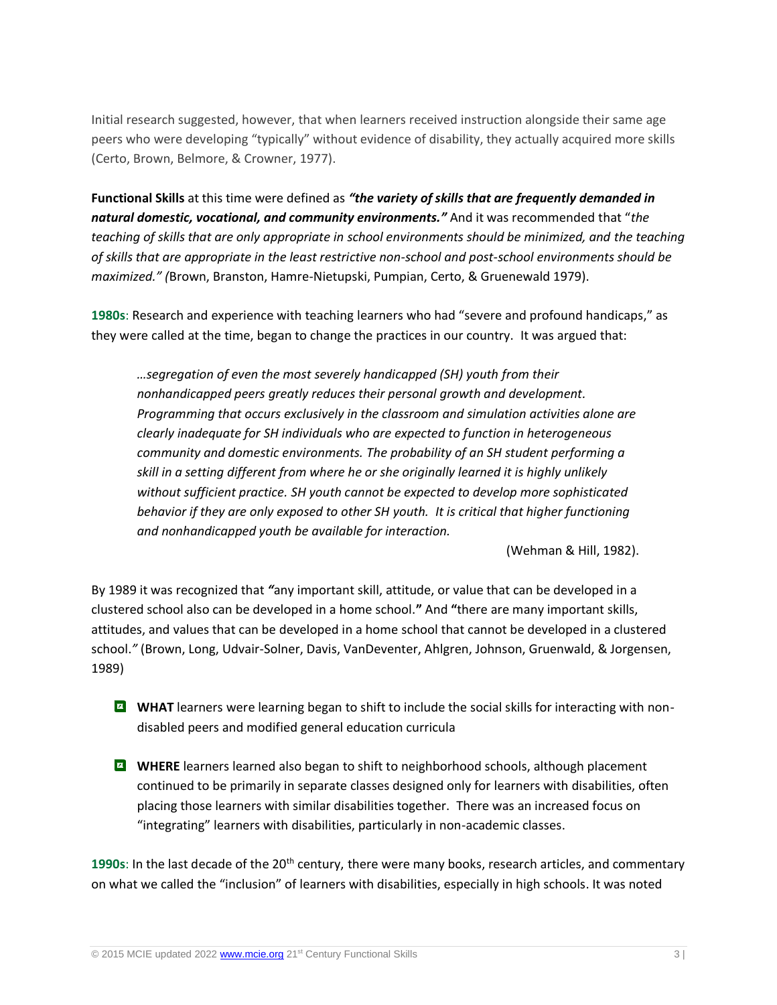Initial research suggested, however, that when learners received instruction alongside their same age peers who were developing "typically" without evidence of disability, they actually acquired more skills (Certo, Brown, Belmore, & Crowner, 1977).

**Functional Skills** at this time were defined as *"the variety of skills that are frequently demanded in natural domestic, vocational, and community environments."* And it was recommended that "*the teaching of skills that are only appropriate in school environments should be minimized, and the teaching of skills that are appropriate in the least restrictive non-school and post-school environments should be maximized." (*Brown, Branston, Hamre-Nietupski, Pumpian, Certo, & Gruenewald 1979).

**1980s**: Research and experience with teaching learners who had "severe and profound handicaps," as they were called at the time, began to change the practices in our country. It was argued that:

*…segregation of even the most severely handicapped (SH) youth from their nonhandicapped peers greatly reduces their personal growth and development. Programming that occurs exclusively in the classroom and simulation activities alone are clearly inadequate for SH individuals who are expected to function in heterogeneous community and domestic environments. The probability of an SH student performing a skill in a setting different from where he or she originally learned it is highly unlikely without sufficient practice. SH youth cannot be expected to develop more sophisticated behavior if they are only exposed to other SH youth. It is critical that higher functioning and nonhandicapped youth be available for interaction.*

(Wehman & Hill, 1982).

By 1989 it was recognized that *"*any important skill, attitude, or value that can be developed in a clustered school also can be developed in a home school.**"** And **"**there are many important skills, attitudes, and values that can be developed in a home school that cannot be developed in a clustered school.*"* (Brown, Long, Udvair-Solner, Davis, VanDeventer, Ahlgren, Johnson, Gruenwald, & Jorgensen, 1989)

- **E** WHAT learners were learning began to shift to include the social skills for interacting with nondisabled peers and modified general education curricula
- **WHERE** learners learned also began to shift to neighborhood schools, although placement continued to be primarily in separate classes designed only for learners with disabilities, often placing those learners with similar disabilities together. There was an increased focus on "integrating" learners with disabilities, particularly in non-academic classes.

1990s: In the last decade of the 20<sup>th</sup> century, there were many books, research articles, and commentary on what we called the "inclusion" of learners with disabilities, especially in high schools. It was noted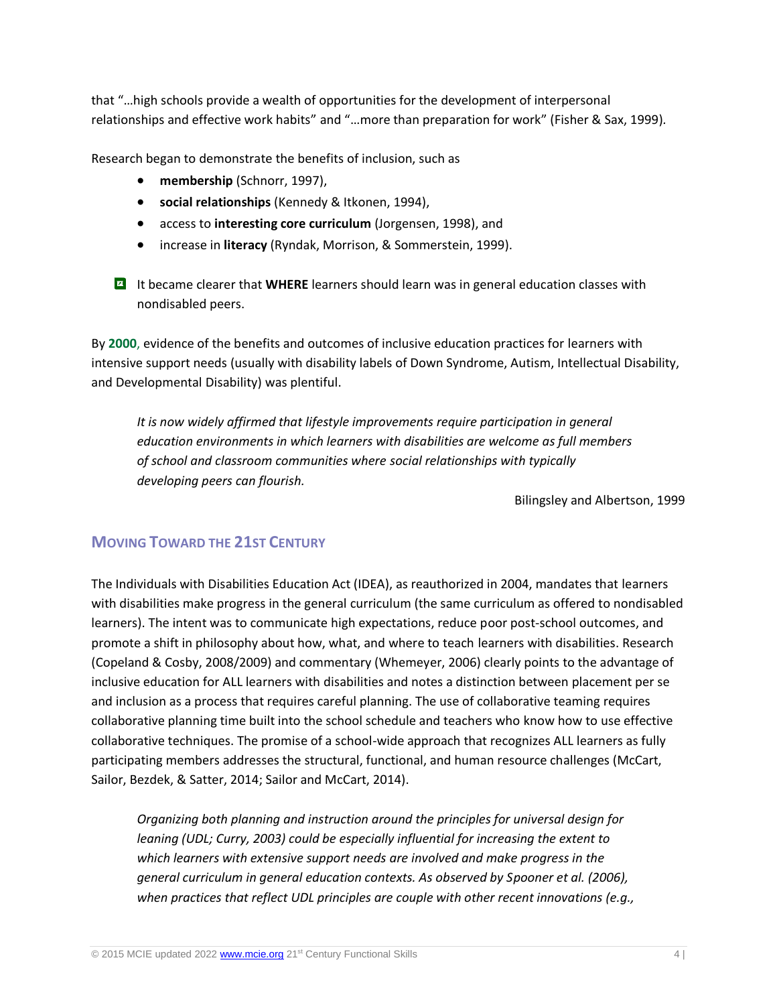that "…high schools provide a wealth of opportunities for the development of interpersonal relationships and effective work habits" and "…more than preparation for work" (Fisher & Sax, 1999)*.*

Research began to demonstrate the benefits of inclusion, such as

- **membership** (Schnorr, 1997),
- **social relationships** (Kennedy & Itkonen, 1994),
- access to **interesting core curriculum** (Jorgensen, 1998), and
- increase in **literacy** (Ryndak, Morrison, & Sommerstein, 1999).

**If** It became clearer that WHERE learners should learn was in general education classes with nondisabled peers.

By **2000**, evidence of the benefits and outcomes of inclusive education practices for learners with intensive support needs (usually with disability labels of Down Syndrome, Autism, Intellectual Disability, and Developmental Disability) was plentiful.

*It is now widely affirmed that lifestyle improvements require participation in general education environments in which learners with disabilities are welcome as full members of school and classroom communities where social relationships with typically developing peers can flourish.*

Bilingsley and Albertson, 1999

#### **MOVING TOWARD THE 21ST CENTURY**

The Individuals with Disabilities Education Act (IDEA), as reauthorized in 2004, mandates that learners with disabilities make progress in the general curriculum (the same curriculum as offered to nondisabled learners). The intent was to communicate high expectations, reduce poor post-school outcomes, and promote a shift in philosophy about how, what, and where to teach learners with disabilities. Research (Copeland & Cosby, 2008/2009) and commentary (Whemeyer, 2006) clearly points to the advantage of inclusive education for ALL learners with disabilities and notes a distinction between placement per se and inclusion as a process that requires careful planning. The use of collaborative teaming requires collaborative planning time built into the school schedule and teachers who know how to use effective collaborative techniques. The promise of a school-wide approach that recognizes ALL learners as fully participating members addresses the structural, functional, and human resource challenges (McCart, Sailor, Bezdek, & Satter, 2014; Sailor and McCart, 2014).

*Organizing both planning and instruction around the principles for universal design for leaning (UDL; Curry, 2003) could be especially influential for increasing the extent to which learners with extensive support needs are involved and make progress in the general curriculum in general education contexts. As observed by Spooner et al. (2006), when practices that reflect UDL principles are couple with other recent innovations (e.g.,*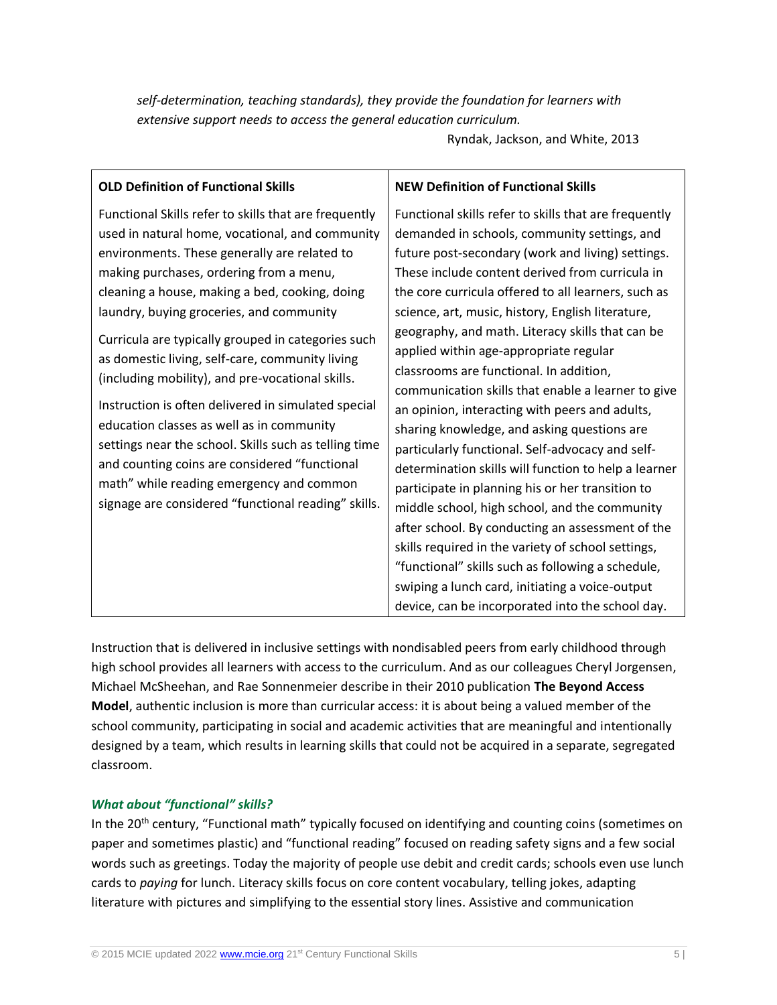## *self-determination, teaching standards), they provide the foundation for learners with extensive support needs to access the general education curriculum.*

Ryndak, Jackson, and White, 2013

| <b>OLD Definition of Functional Skills</b>                                                                                                                                                                                                                                                                                                                                                                                                                                                                                                                                                                                                                                                                                                                                      | <b>NEW Definition of Functional Skills</b>                                                                                                                                                                                                                                                                                                                                                                                                                                                                                                                                                                                                                                                                                                                                                                                                                                                                                                                                                                                                                   |
|---------------------------------------------------------------------------------------------------------------------------------------------------------------------------------------------------------------------------------------------------------------------------------------------------------------------------------------------------------------------------------------------------------------------------------------------------------------------------------------------------------------------------------------------------------------------------------------------------------------------------------------------------------------------------------------------------------------------------------------------------------------------------------|--------------------------------------------------------------------------------------------------------------------------------------------------------------------------------------------------------------------------------------------------------------------------------------------------------------------------------------------------------------------------------------------------------------------------------------------------------------------------------------------------------------------------------------------------------------------------------------------------------------------------------------------------------------------------------------------------------------------------------------------------------------------------------------------------------------------------------------------------------------------------------------------------------------------------------------------------------------------------------------------------------------------------------------------------------------|
| Functional Skills refer to skills that are frequently<br>used in natural home, vocational, and community<br>environments. These generally are related to<br>making purchases, ordering from a menu,<br>cleaning a house, making a bed, cooking, doing<br>laundry, buying groceries, and community<br>Curricula are typically grouped in categories such<br>as domestic living, self-care, community living<br>(including mobility), and pre-vocational skills.<br>Instruction is often delivered in simulated special<br>education classes as well as in community<br>settings near the school. Skills such as telling time<br>and counting coins are considered "functional<br>math" while reading emergency and common<br>signage are considered "functional reading" skills. | Functional skills refer to skills that are frequently<br>demanded in schools, community settings, and<br>future post-secondary (work and living) settings.<br>These include content derived from curricula in<br>the core curricula offered to all learners, such as<br>science, art, music, history, English literature,<br>geography, and math. Literacy skills that can be<br>applied within age-appropriate regular<br>classrooms are functional. In addition,<br>communication skills that enable a learner to give<br>an opinion, interacting with peers and adults,<br>sharing knowledge, and asking questions are<br>particularly functional. Self-advocacy and self-<br>determination skills will function to help a learner<br>participate in planning his or her transition to<br>middle school, high school, and the community<br>after school. By conducting an assessment of the<br>skills required in the variety of school settings,<br>"functional" skills such as following a schedule,<br>swiping a lunch card, initiating a voice-output |
|                                                                                                                                                                                                                                                                                                                                                                                                                                                                                                                                                                                                                                                                                                                                                                                 | device, can be incorporated into the school day.                                                                                                                                                                                                                                                                                                                                                                                                                                                                                                                                                                                                                                                                                                                                                                                                                                                                                                                                                                                                             |

Instruction that is delivered in inclusive settings with nondisabled peers from early childhood through high school provides all learners with access to the curriculum. And as our colleagues Cheryl Jorgensen, Michael McSheehan, and Rae Sonnenmeier describe in their 2010 publication **The Beyond Access Model**, authentic inclusion is more than curricular access: it is about being a valued member of the school community, participating in social and academic activities that are meaningful and intentionally designed by a team, which results in learning skills that could not be acquired in a separate, segregated classroom.

#### *What about "functional" skills?*

In the 20<sup>th</sup> century, "Functional math" typically focused on identifying and counting coins (sometimes on paper and sometimes plastic) and "functional reading" focused on reading safety signs and a few social words such as greetings. Today the majority of people use debit and credit cards; schools even use lunch cards to *paying* for lunch. Literacy skills focus on core content vocabulary, telling jokes, adapting literature with pictures and simplifying to the essential story lines. Assistive and communication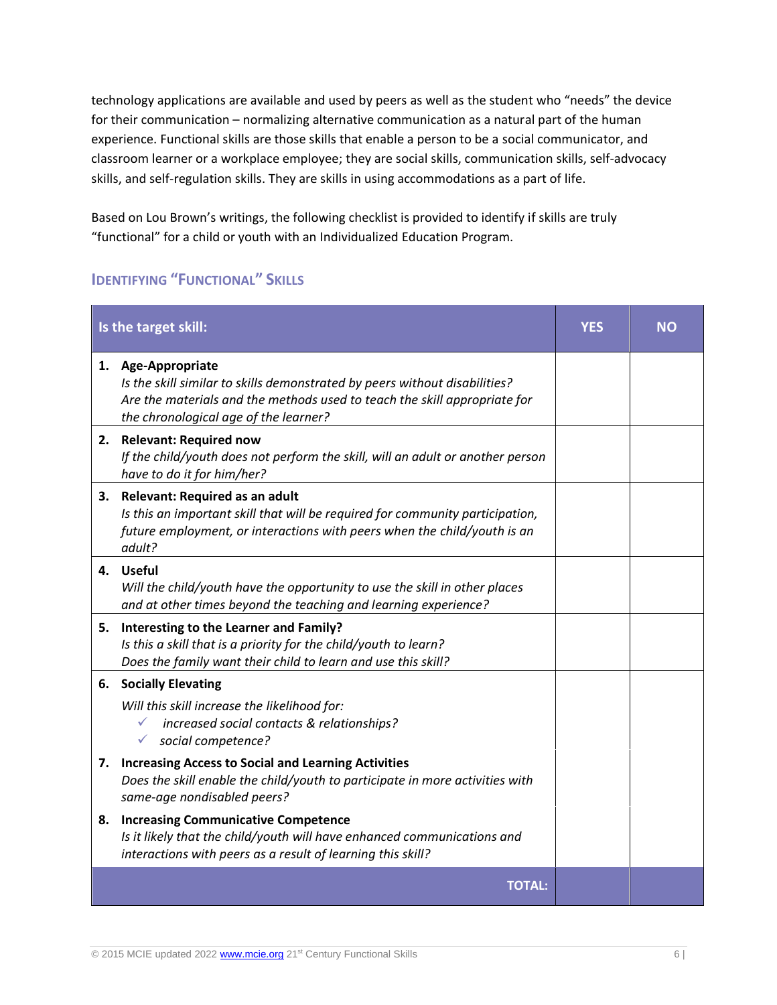technology applications are available and used by peers as well as the student who "needs" the device for their communication – normalizing alternative communication as a natural part of the human experience. Functional skills are those skills that enable a person to be a social communicator, and classroom learner or a workplace employee; they are social skills, communication skills, self-advocacy skills, and self-regulation skills. They are skills in using accommodations as a part of life.

Based on Lou Brown's writings, the following checklist is provided to identify if skills are truly "functional" for a child or youth with an Individualized Education Program.

# **IDENTIFYING "FUNCTIONAL" SKILLS**

| Is the target skill: |                                                                                                                                                                                                                        | <b>YES</b> | NΟ |
|----------------------|------------------------------------------------------------------------------------------------------------------------------------------------------------------------------------------------------------------------|------------|----|
|                      | 1. Age-Appropriate<br>Is the skill similar to skills demonstrated by peers without disabilities?<br>Are the materials and the methods used to teach the skill appropriate for<br>the chronological age of the learner? |            |    |
| 2.                   | <b>Relevant: Required now</b><br>If the child/youth does not perform the skill, will an adult or another person<br>have to do it for him/her?                                                                          |            |    |
| 3.                   | <b>Relevant: Required as an adult</b><br>Is this an important skill that will be required for community participation,<br>future employment, or interactions with peers when the child/youth is an<br>adult?           |            |    |
|                      | 4. Useful<br>Will the child/youth have the opportunity to use the skill in other places<br>and at other times beyond the teaching and learning experience?                                                             |            |    |
| 5.                   | Interesting to the Learner and Family?<br>Is this a skill that is a priority for the child/youth to learn?<br>Does the family want their child to learn and use this skill?                                            |            |    |
| 6.                   | <b>Socially Elevating</b><br>Will this skill increase the likelihood for:<br>increased social contacts & relationships?<br>✓<br>social competence?                                                                     |            |    |
|                      | 7. Increasing Access to Social and Learning Activities<br>Does the skill enable the child/youth to participate in more activities with<br>same-age nondisabled peers?                                                  |            |    |
| 8.                   | <b>Increasing Communicative Competence</b><br>Is it likely that the child/youth will have enhanced communications and<br>interactions with peers as a result of learning this skill?                                   |            |    |
|                      | <b>TOTAL:</b>                                                                                                                                                                                                          |            |    |